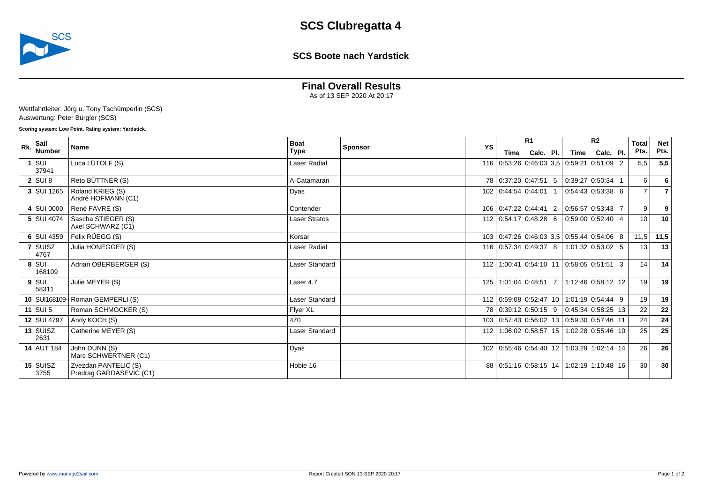

### **SCS Boote nach Yardstick**

# **Final Overall Results**

As of 13 SEP 2020 At 20:17

Wettfahrtleiter: Jörg u. Tony Tschümperlin (SCS) Auswertung: Peter Bürgler (SCS)

#### **Scoring system: Low Point. Rating system: Yardstick.**

| R <sub>k</sub> | Sail<br>Number            | <b>Name</b>                                     | <b>Boat</b><br><b>Sponsor</b><br>Type |  | YS | R <sub>1</sub>                                |           | R <sub>2</sub> |                       |           | <b>Total</b> | <b>Net</b>      |      |
|----------------|---------------------------|-------------------------------------------------|---------------------------------------|--|----|-----------------------------------------------|-----------|----------------|-----------------------|-----------|--------------|-----------------|------|
|                |                           |                                                 |                                       |  |    | Time                                          | Calc. Pl. |                | Time                  | Calc. Pl. |              | Pts.            | Pts. |
|                | $1$ SUI<br>37941          | Luca LÜTOLF (S)                                 | Laser Radial                          |  |    | 116 0:53:26 0:46:03 3,5 0:59:21 0:51:09 2     |           |                |                       |           |              | 5.5             | 5,5  |
|                | $2$ SUI 8                 | Reto BÜTTNER (S)                                | A-Catamaran                           |  |    | 78 0:37:20 0:47:51 5                          |           |                | $0.39:27$ 0:50:34 1   |           |              | $6 \mid$        | 6    |
|                | 3 SUI 1265                | Roland KRIEG (S)<br>André HOFMANN (C1)          | Dyas                                  |  |    | 102 0:44:54 0:44:01 1                         |           |                | 0:54:43 0:53:38 6     |           |              | $\overline{7}$  | 7    |
|                | 4 SUI 0000                | René FAVRE (S)                                  | Contender                             |  |    | 106 0:47:22 0:44:41 2                         |           |                | $0.56.57$ 0.53:43 7   |           |              | 9 <sup>1</sup>  | 9    |
|                | <b>5 SUI 4074</b>         | Sascha STIEGER (S)<br>Axel SCHWARZ (C1)         | Laser Stratos                         |  |    | 112   0.54:17 0.48:28 6                       |           |                | $0.59:00$ $0.52:40$ 4 |           |              | 10 <sup>1</sup> | 10   |
|                | 6 SUI 4359                | Felix RÜEGG (S)                                 | Korsar                                |  |    | 103 0:47:26 0:46:03 3.5 0:55:44 0:54:06 8     |           |                |                       |           |              | 11,5            | 11,5 |
|                | 7 SUISZ<br>4767           | Julia HONEGGER (S)                              | Laser Radial                          |  |    | 116 0:57:34 0:49:37 8                         |           |                | 1:01:32 0:53:02 5     |           |              | 13 <sup>1</sup> | 13   |
|                | 8 SUI<br>168109           | Adrian OBERBERGER (S)                           | Laser Standard                        |  |    | 112 1:00:41 0:54:10 11 0:58:05 0:51:51 3      |           |                |                       |           |              | 14              | 14   |
|                | $9$ SUI<br>58311          | Julie MEYER (S)                                 | Laser 4.7                             |  |    | 125 1:01:04 0:48:51 7                         |           |                | 1:12:46 0:58:12 12    |           |              | 19              | 19   |
|                |                           | 10 SUI168109 Roman GEMPERLI (S)                 | Laser Standard                        |  |    | 112 0:59:08 0:52:47 10 1:01:19 0:54:44 9      |           |                |                       |           |              | 19 <sup>1</sup> | 19   |
|                | 11 $\left  \right.$ SUI 5 | Roman SCHMOCKER (S)                             | Flyer XL                              |  |    | 78 0:39:12 0:50:15 9                          |           |                | $0.45.34$ 0.58:25 13  |           |              | 22              | 22   |
|                | 12 SUI 4797               | Andy KOCH (S)                                   | 470                                   |  |    | 103 0:57:43 0:56:02 13 0:59:30 0:57:46 11     |           |                |                       |           |              | 24              | 24   |
|                | $13$ SUISZ<br>2631        | Catherine MEYER (S)                             | Laser Standard                        |  |    | 112   1:06:02 0:58:57 15   1:02:28 0:55:46 10 |           |                |                       |           |              | 25              | 25   |
|                | <b>14 AUT 184</b>         | John DUNN (S)<br>Marc SCHWERTNER (C1)           | Dyas                                  |  |    | 102 0:55:46 0:54:40 12 1:03:29 1:02:14 14     |           |                |                       |           |              | 26              | 26   |
|                | 15 SUISZ<br>3755          | Zvezdan PANTELIC (S)<br>Predrag GARDASEVIC (C1) | Hobie 16                              |  |    | 88 0:51:16 0:58:15 14 1:02:19 1:10:48 16      |           |                |                       |           |              | 30 <sup>1</sup> | 30   |